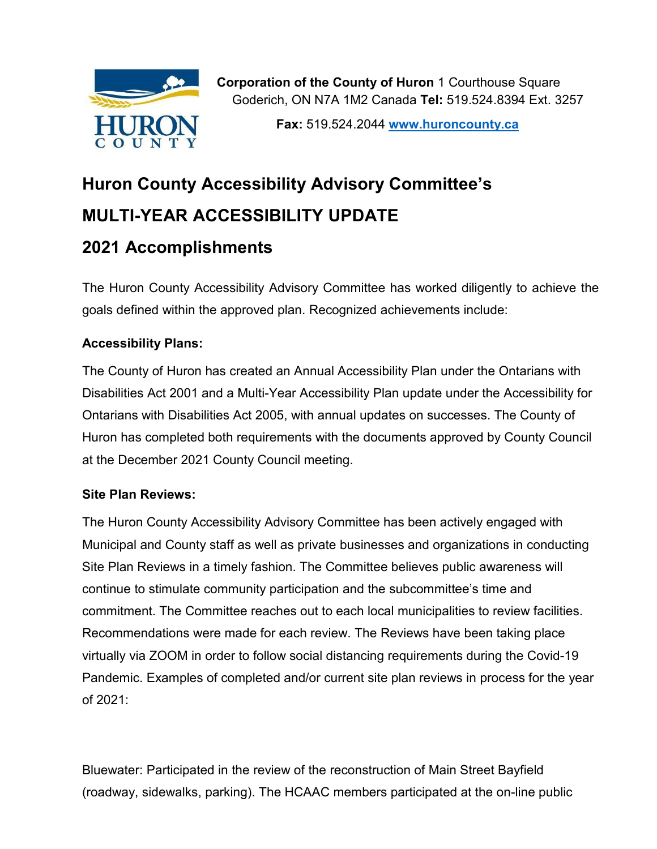

**Fax:** 519.524.2044 **[www.huroncounty.ca](http://www.huroncounty.ca/)**

# **Huron County Accessibility Advisory Committee's MULTI-YEAR ACCESSIBILITY UPDATE 2021 Accomplishments**

The Huron County Accessibility Advisory Committee has worked diligently to achieve the goals defined within the approved plan. Recognized achievements include:

# **Accessibility Plans:**

The County of Huron has created an Annual Accessibility Plan under the Ontarians with Disabilities Act 2001 and a Multi-Year Accessibility Plan update under the Accessibility for Ontarians with Disabilities Act 2005, with annual updates on successes. The County of Huron has completed both requirements with the documents approved by County Council at the December 2021 County Council meeting.

## **Site Plan Reviews:**

The Huron County Accessibility Advisory Committee has been actively engaged with Municipal and County staff as well as private businesses and organizations in conducting Site Plan Reviews in a timely fashion. The Committee believes public awareness will continue to stimulate community participation and the subcommittee's time and commitment. The Committee reaches out to each local municipalities to review facilities. Recommendations were made for each review. The Reviews have been taking place virtually via ZOOM in order to follow social distancing requirements during the Covid-19 Pandemic. Examples of completed and/or current site plan reviews in process for the year of 2021:

Bluewater: Participated in the review of the reconstruction of Main Street Bayfield (roadway, sidewalks, parking). The HCAAC members participated at the on-line public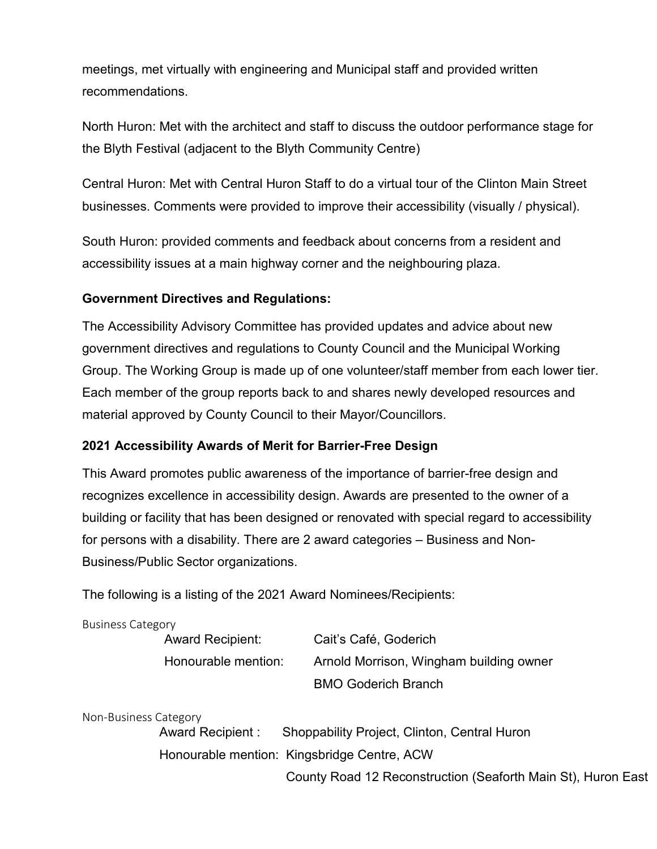meetings, met virtually with engineering and Municipal staff and provided written recommendations.

North Huron: Met with the architect and staff to discuss the outdoor performance stage for the Blyth Festival (adjacent to the Blyth Community Centre)

Central Huron: Met with Central Huron Staff to do a virtual tour of the Clinton Main Street businesses. Comments were provided to improve their accessibility (visually / physical).

South Huron: provided comments and feedback about concerns from a resident and accessibility issues at a main highway corner and the neighbouring plaza.

#### **Government Directives and Regulations:**

The Accessibility Advisory Committee has provided updates and advice about new government directives and regulations to County Council and the Municipal Working Group. The Working Group is made up of one volunteer/staff member from each lower tier. Each member of the group reports back to and shares newly developed resources and material approved by County Council to their Mayor/Councillors.

#### **2021 Accessibility Awards of Merit for Barrier-Free Design**

This Award promotes public awareness of the importance of barrier-free design and recognizes excellence in accessibility design. Awards are presented to the owner of a building or facility that has been designed or renovated with special regard to accessibility for persons with a disability. There are 2 award categories – Business and Non-Business/Public Sector organizations.

The following is a listing of the 2021 Award Nominees/Recipients:

| Award Recipient:    | Cait's Café, Goderich                   |
|---------------------|-----------------------------------------|
| Honourable mention: | Arnold Morrison, Wingham building owner |
|                     | <b>BMO Goderich Branch</b>              |

Non-Business Category

Award Recipient : Shoppability Project, Clinton, Central Huron Honourable mention: Kingsbridge Centre, ACW County Road 12 Reconstruction (Seaforth Main St), Huron East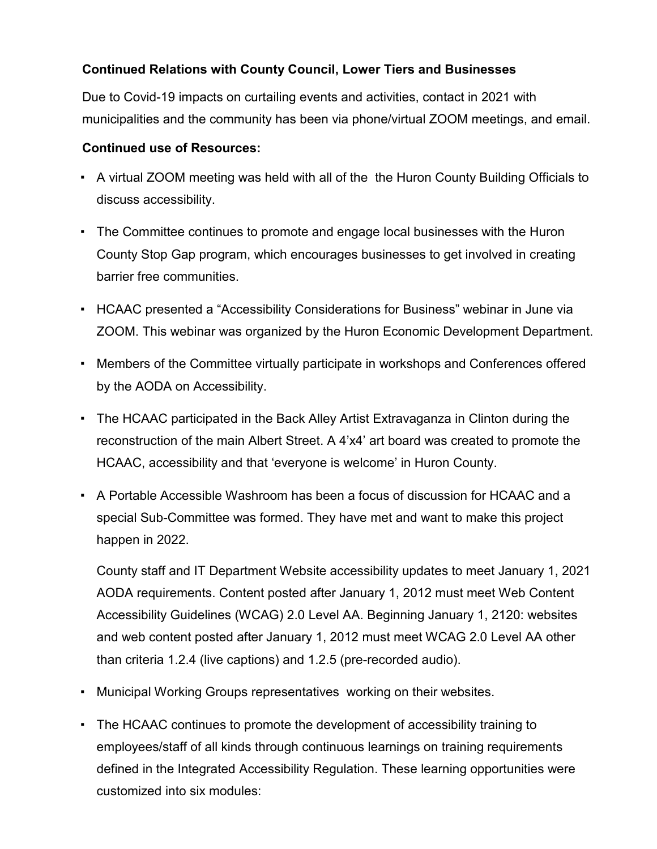## **Continued Relations with County Council, Lower Tiers and Businesses**

Due to Covid-19 impacts on curtailing events and activities, contact in 2021 with municipalities and the community has been via phone/virtual ZOOM meetings, and email.

### **Continued use of Resources:**

- A virtual ZOOM meeting was held with all of the the Huron County Building Officials to discuss accessibility.
- The Committee continues to promote and engage local businesses with the Huron County Stop Gap program, which encourages businesses to get involved in creating barrier free communities.
- HCAAC presented a "Accessibility Considerations for Business" webinar in June via ZOOM. This webinar was organized by the Huron Economic Development Department.
- Members of the Committee virtually participate in workshops and Conferences offered by the AODA on Accessibility.
- The HCAAC participated in the Back Alley Artist Extravaganza in Clinton during the reconstruction of the main Albert Street. A 4'x4' art board was created to promote the HCAAC, accessibility and that 'everyone is welcome' in Huron County.
- A Portable Accessible Washroom has been a focus of discussion for HCAAC and a special Sub-Committee was formed. They have met and want to make this project happen in 2022.

County staff and IT Department Website accessibility updates to meet January 1, 2021 AODA requirements. Content posted after January 1, 2012 must meet Web Content Accessibility Guidelines (WCAG) 2.0 Level AA. Beginning January 1, 2120: websites and web content posted after January 1, 2012 must meet WCAG 2.0 Level AA other than criteria 1.2.4 (live captions) and 1.2.5 (pre-recorded audio).

- Municipal Working Groups representatives working on their websites.
- The HCAAC continues to promote the development of accessibility training to employees/staff of all kinds through continuous learnings on training requirements defined in the Integrated Accessibility Regulation. These learning opportunities were customized into six modules: